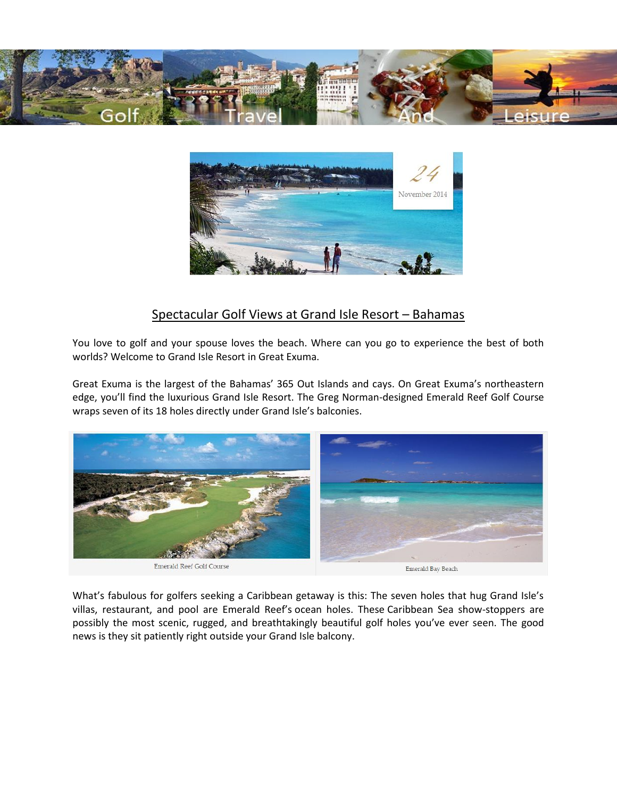



# Spectacular Golf Views at Grand Isle Resort – Bahamas

You love to golf and your spouse loves the beach. Where can you go to experience the best of both worlds? Welcome to Grand Isle Resort in Great Exuma.

Great Exuma is the largest of the Bahamas' 365 Out Islands and cays. On Great Exuma's northeastern edge, you'll find the luxurious Grand Isle Resort. The Greg Norman-designed Emerald Reef Golf Course wraps seven of its 18 holes directly under Grand Isle's balconies.



What's fabulous for golfers seeking a Caribbean getaway is this: The seven holes that hug Grand Isle's villas, restaurant, and pool are Emerald Reef's ocean holes. These Caribbean Sea show-stoppers are possibly the most scenic, rugged, and breathtakingly beautiful golf holes you've ever seen. The good news is they sit patiently right outside your Grand Isle balcony.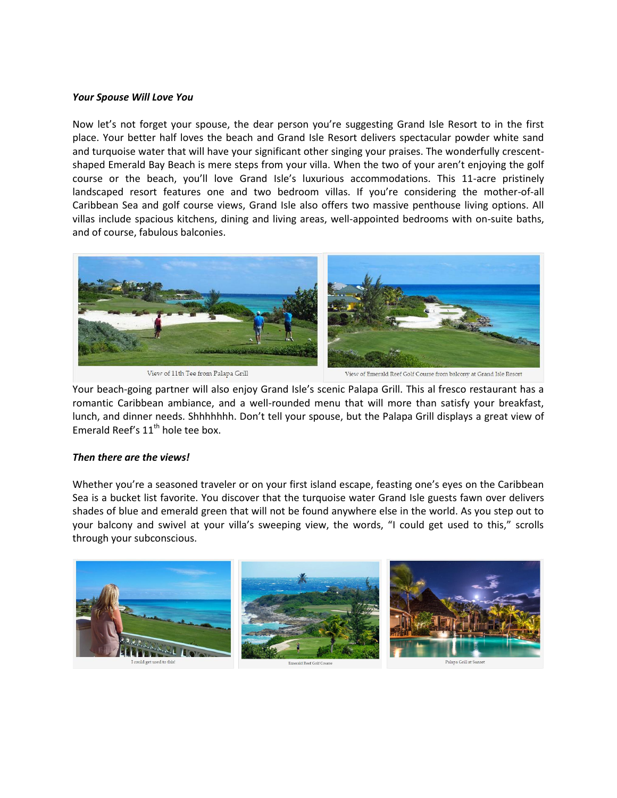#### *Your Spouse Will Love You*

Now let's not forget your spouse, the dear person you're suggesting Grand Isle Resort to in the first place. Your better half loves the beach and Grand Isle Resort delivers spectacular powder white sand and turquoise water that will have your significant other singing your praises. The wonderfully crescentshaped Emerald Bay Beach is mere steps from your villa. When the two of your aren't enjoying the golf course or the beach, you'll love Grand Isle's luxurious accommodations. This 11-acre pristinely landscaped resort features one and two bedroom villas. If you're considering the mother-of-all Caribbean Sea and golf course views, Grand Isle also offers two massive penthouse living options. All villas include spacious kitchens, dining and living areas, well-appointed bedrooms with on-suite baths, and of course, fabulous balconies.



View of 11th Tee from Palapa Grill

View of Emerald Reef Golf Course from balcony at Grand Isle Resort

Your beach-going partner will also enjoy Grand Isle's scenic Palapa Grill. This al fresco restaurant has a romantic Caribbean ambiance, and a well-rounded menu that will more than satisfy your breakfast, lunch, and dinner needs. Shhhhhhh. Don't tell your spouse, but the Palapa Grill displays a great view of Emerald Reef's  $11<sup>th</sup>$  hole tee box.

#### *Then there are the views!*

Whether you're a seasoned traveler or on your first island escape, feasting one's eyes on the Caribbean Sea is a bucket list favorite. You discover that the turquoise water Grand Isle guests fawn over delivers shades of blue and emerald green that will not be found anywhere else in the world. As you step out to your balcony and swivel at your villa's sweeping view, the words, "I could get used to this," scrolls through your subconscious.